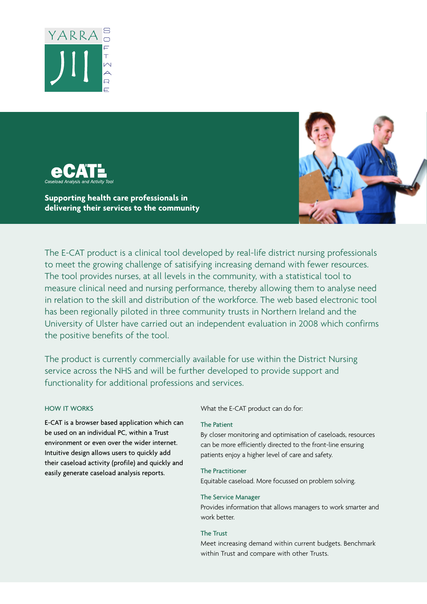



**Supporting health care professionals in delivering their services to the community**



The E-CAT product is a clinical tool developed by real-life district nursing professionals to meet the growing challenge of satisifying increasing demand with fewer resources. The tool provides nurses, at all levels in the community, with a statistical tool to measure clinical need and nursing performance, thereby allowing them to analyse need in relation to the skill and distribution of the workforce. The web based electronic tool has been regionally piloted in three community trusts in Northern Ireland and the University of Ulster have carried out an independent evaluation in 2008 which confirms the positive benefits of the tool.

The product is currently commercially available for use within the District Nursing service across the NHS and will be further developed to provide support and functionality for additional professions and services.

## HOW IT WORKS

E-CAT is a browser based application which can be used on an individual PC, within a Trust environment or even over the wider internet. Intuitive design allows users to quickly add their caseload activity (profile) and quickly and easily generate caseload analysis reports.

What the E-CAT product can do for:

## The Patient

By closer monitoring and optimisation of caseloads, resources can be more efficiently directed to the front-line ensuring patients enjoy a higher level of care and safety.

The Practitioner

Equitable caseload. More focussed on problem solving.

## The Service Manager

Provides information that allows managers to work smarter and work better.

### The Trust

Meet increasing demand within current budgets. Benchmark within Trust and compare with other Trusts.